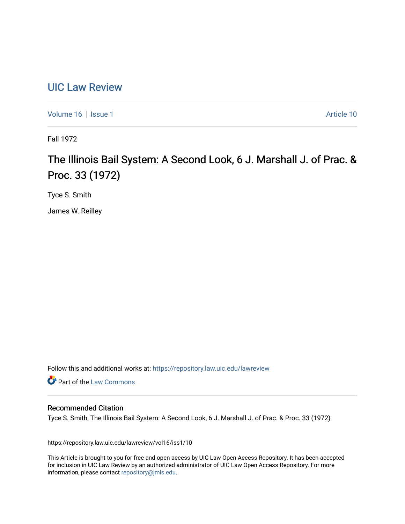## [UIC Law Review](https://repository.law.uic.edu/lawreview)

[Volume 16](https://repository.law.uic.edu/lawreview/vol16) | [Issue 1](https://repository.law.uic.edu/lawreview/vol16/iss1) Article 10

Fall 1972

# The Illinois Bail System: A Second Look, 6 J. Marshall J. of Prac. & Proc. 33 (1972)

Tyce S. Smith

James W. Reilley

Follow this and additional works at: [https://repository.law.uic.edu/lawreview](https://repository.law.uic.edu/lawreview?utm_source=repository.law.uic.edu%2Flawreview%2Fvol16%2Fiss1%2F10&utm_medium=PDF&utm_campaign=PDFCoverPages) 

Part of the [Law Commons](http://network.bepress.com/hgg/discipline/578?utm_source=repository.law.uic.edu%2Flawreview%2Fvol16%2Fiss1%2F10&utm_medium=PDF&utm_campaign=PDFCoverPages)

## Recommended Citation

Tyce S. Smith, The Illinois Bail System: A Second Look, 6 J. Marshall J. of Prac. & Proc. 33 (1972)

https://repository.law.uic.edu/lawreview/vol16/iss1/10

This Article is brought to you for free and open access by UIC Law Open Access Repository. It has been accepted for inclusion in UIC Law Review by an authorized administrator of UIC Law Open Access Repository. For more information, please contact [repository@jmls.edu.](mailto:repository@jmls.edu)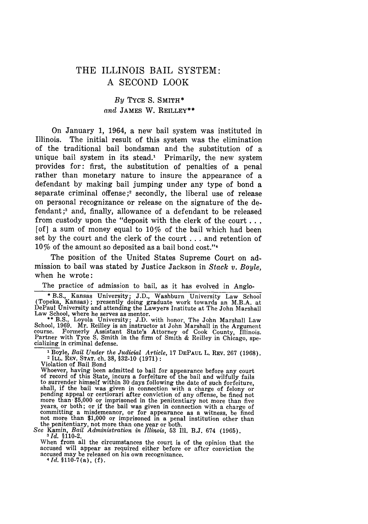## THE ILLINOIS BAIL SYSTEM: **A SECOND** LOOK

### *By* **TYCE** S. SMITH\* *and* JAMES W. REILLEY\*\*

On January 1, 1964, a new bail system was instituted in Illinois. The initial result of this system was the elimination of the traditional bail bondsman and the substitution of a unique bail system in its stead.<sup>1</sup> Primarily, the new system provides for: first, the substitution of penalties of a penal rather than monetary nature to insure the appearance of a defendant by making bail jumping under any type of bond a separate criminal offense; $2$  secondly, the liberal use of release on personal recognizance or release on the signature of the defendant **;3** and, finally, allowance of a defendant to be released from custody upon the "deposit with the clerk of the court... [of] a sum of money equal to  $10\%$  of the bail which had been set by the court and the clerk of the court **...** and retention of 10% of the amount so deposited as a bail bond cost."<sup>4</sup>

The position of the United States Supreme Court on admission to bail was stated by Justice Jackson in *Stack v. Boyle,* when he wrote:

The practice of admission to bail, as it has evolved in Anglo-

**\*** B.S., Kansas University; J.D., Washburn University Law School (Topeka, Kansas); presently doing graduate work towards an M.B.A. at DePaul University and attending the Lawyers Institute at The John Marshall

Law School, where he serves as mentor.<br>
\*\* B.S., Loyola University; J.D. with honor, The John Marshall Law<br>
School, 1969. Mr. Reilley is an instructor at John Marshall in the Argument<br>
course. Formerly Assistant State's At cializing in criminal defense.

**<sup>1</sup>**Boyle, *Bail Under the Judicial Article,* **17 DEPAUL L.** REV. **267** (1968). **<sup>2</sup>**ILL. REV. **STAT.** ch. 38, §32-10 (1971):

Violation of Bail Bond

Whoever, having been admitted to bail for appearance before any court of record of this State, incurs a forfeiture of the bail and wilfully fails to surrender himself within 30 days following the date of such forfeiture, shall, if the bail was given in connection with a charge of felony or pending appeal or certiorari after conviction of any offense, be fined not more than \$5,000 or imprisoned in the penitentiary not more than five<br>years, or both; or if the bail was given in connection with a charge of committing a misdemeanor, or for appearance as a witness, be fined not more than \$1,000 or imprisoned in a penal institution other than the penitentiary, not more than one year or both. See Kamin, *Bail Administration in Illinois,* 53 Ill. B.J. 674 (1965). **3** Id. §110-2.

When from all the circumstances the court is of the opinion that the accused will appear as required either before or after conviction the accused may be released on his own recognizance. <sup>4</sup>*Id.* **§110-7** (a), **(f).**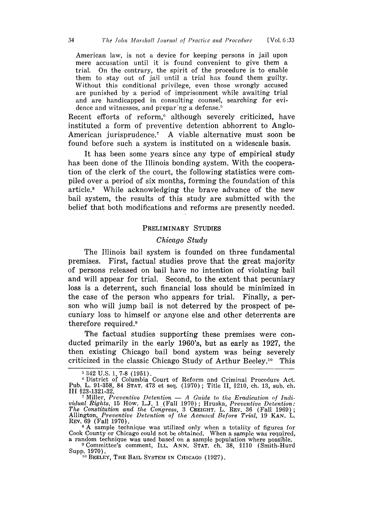American law, is not a device for keeping persons in jail upon mere accusation until it is found convenient to give them a trial. On the contrary, the spirit of the procedure is to enable them to stay out of jail until a trial has found them guilty. Without this conditional privilege, even those wrongly accused are punished by a period of imprisonment while awaiting trial and are handicapped in consulting counsel, searching for evidence and witnesses, and prepar'ng a defense.5

Recent efforts of reform,<sup>6</sup> although severely criticized, have instituted a form of preventive detention abhorrent to Anglo-American jurisprudence.<sup>7</sup> A viable alternative must soon be found before such a system is instituted on a widescale basis.

It has been some years since any type of empirical study has been done of the Illinois bonding system. With the cooperation of the clerk of the court, the following statistics were compiled over a period of six months, forming the foundation of this article." While acknowledging the brave advance of the new bail system, the results of this study are submitted with the belief that both modifications and reforms are presently needed.

#### PRELIMINARY STUDIES

#### *Chicago Study*

The Illinois bail system is founded on three fundamental premises. First, factual studies prove that the great majority of persons released on bail have no intention of violating bail and will appear for trial. Second, to the extent that pecuniary loss is a deterrent, such financial loss should be minimized in the case of the person who appears for trial. Finally, a person who will jump bail is not deterred by the prospect of pecuniary loss to himself or anyone else and other deterrents are therefore required.9

The factual studies supporting these premises were conducted primarily in the early 1960's, but as early as 1927, the then existing Chicago bail bond system was being severely criticized in the classic Chicago Study of Arthur Beeley. 10 This

<sup>5342</sup> **U.S. 1, 7-8** (1951). 6 District of Columbia Court of Reform and Criminal Procedure Act. Pub. L. 91-358, 84 **STAT.** 473 et seq. (1970) ; Title II, §210, ch. 13, sub. ch. **III §23-1321-32.**

**<sup>7</sup>**Miller, *Preventive Detention* - *A Guide to the Eradication of Individual Rights,* 15 How. L.J. 1 (Fall 1970); Hruska, *Preventive Detention: The Constitution and the Congress,* 3 CREIGHT. L. REv. **36** (Fall **1969);** Allington, *Preventive Detention of the Accused Before Trial,* **19 KAN.** L. REV. 69 (Fall 1970).

**<sup>8</sup>**A sample technique was utilized only when a totality of figures for Cook County or Chicago could not be obtained. When a sample was required<br>a random technique was used based on a sample population where possible.<br><sup>9</sup> Committee's comment, ILL. ANN. STAT. ch. 38, \$110 (Smith-Hurd

<sup>&</sup>lt;sup>9</sup> Committee's comment, ILL. ANN. STAT. ch. 38, \$110 (Smith-Hurd Supp. 1970).<br><sup>10</sup> BEELEY, THE BAIL SYSTEM IN CHICAGO (1927).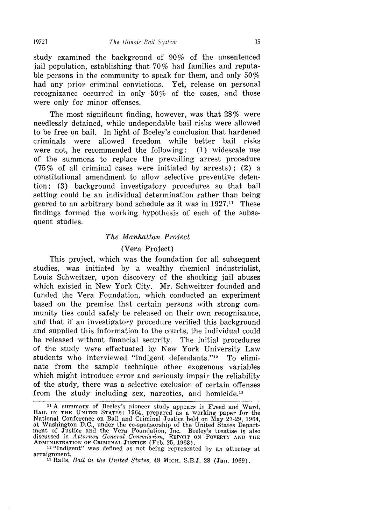study examined the background of 90% of the unsentenced jail population, establishing that 70% had families and reputable persons in the community to speak for them, and only 50% had any prior criminal convictions. Yet, release on personal recognizance occurred in only 50% of the cases, and those were only for minor offenses.

The most significant finding, however, was that 28% were needlessly detained, while undependable bail risks were allowed to be free on bail. In light of Beeley's conclusion that hardened criminals were allowed freedom while better bail risks were not, he recommended the following: (1) widescale use of the summons to replace the prevailing arrest procedure (75% of all criminal cases were initiated by arrests) ; (2) a constitutional amendment to allow selective preventive detention; (3) background investigatory procedures so that bail setting could be an individual determination rather than being geared to an arbitrary bond schedule as it was in  $1927<sup>11</sup>$ . These findings formed the working hypothesis of each of the subsequent studies.

#### *The Manhattan Project*

#### (Vera Project)

This project, which was the foundation for all subsequent studies, was initiated by a wealthy chemical industrialist, Louis Schweitzer, upon discovery of the shocking jail abuses which existed in New York City. Mr. Schweitzer founded and funded the Vera Foundation, which conducted an experiment based on the premise that certain persons with strong community ties could safely be released on their own recognizance, and that if an investigatory procedure verified this background and supplied this information to the courts, the individual could be released without financial security. The initial procedures of the study were effectuated by New York University Law students who interviewed "indigent defendants."<sup>12</sup> To eliminate from the sample technique other exogenous variables which might introduce error and seriously impair the reliability of the study, there was a selective exclusion of certain offenses from the study including sex, narcotics, and homicide.<sup>13</sup>

**<sup>&</sup>quot;t** A summary of Beeley's pioneer study appears in Freed and Ward, BAIL **IN** THE **UNITED STATES:** 1964, prepared as a working paper for the National Conference on Bail and Criminal Justice held on May 27-29, 1964, at Washington D.C., under the co-sponsorship of the United States Department of Justice and the Vera Foundation, Inc. Beeley's treatise is also discussed in *Attorney General Commision,* REPORT **ON** POVERTY **AND THE** ADMINISTRATION OF CRIMINAL **JUSTICE** (Feb. 25, 1963). 12 "Indigent" was defined as not being represented by an attorney at

<sup>&</sup>lt;sup>12</sup> "Indigent" was defined as not being represented by an attorney at arraignment.<br><sup>13</sup> Ralls, *Bail in the United States*, 48 MICH. S.B.J. 28 (Jan. 1969).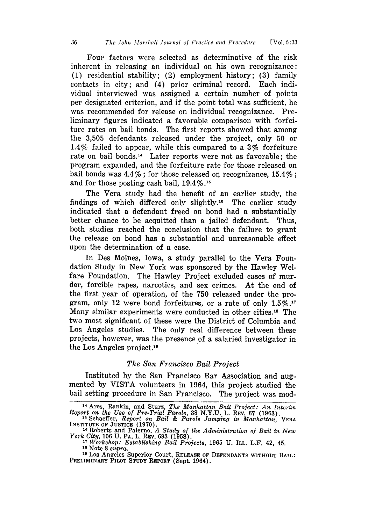Four factors were selected as determinative of the risk inherent in releasing an individual on his own recognizance: (1) residential stability; (2) employment history; (3) family contacts in city; and (4) prior criminal record. Each individual interviewed was assigned a certain number of points per designated criterion, and if the point total was sufficient, he was recommended for release on individual recognizance. Preliminary figures indicated a favorable comparison with forfeiture rates on bail bonds. The first reports showed that among the 3,505 defendants released under the project, only 50 or 1.4% failed to appear, while this compared to a 3% forfeiture rate on bail bonds.<sup>14</sup> Later reports were not as favorable; the program expanded, and the forfeiture rate for those released on bail bonds was  $4.4\%$ ; for those released on recognizance,  $15.4\%$ ; and for those posting cash bail,  $19.4\%$ .<sup>15</sup>

The Vera study had the benefit of an earlier study, the findings of which differed only slightly.<sup>16</sup> The earlier study indicated that a defendant freed on bond had a substantially better chance to be acquitted than a jailed defendant. Thus, both studies reached the conclusion that the failure to grant the release on bond has a substantial and unreasonable effect upon the determination of a case.

In Des Moines, Iowa, a study parallel to the Vera Foundation Study in New York was sponsored by the Hawley Welfare Foundation. The Hawley Project excluded cases of murder, forcible rapes, narcotics, and sex crimes. At the end of the first year of operation, of the 750 released under the program, only 12 were bond forfeitures, or a rate of only  $1.5\%$ .<sup>17</sup> Many similar experiments were conducted in other cities.18 The two most significant of these were the District of Columbia and Los Angeles studies. The only real difference between these projects, however, was the presence of a salaried investigator in the Los Angeles project.'9

#### *The San Francisco Bail Project*

Instituted by the San Francisco Bar Association and augmented by VISTA volunteers in 1964, this project studied the bail setting procedure in San Francisco. The project was mod-

**<sup>14</sup>**Ares, Rankin, and Sturz, *The Manhattan Bail Project: An Interim Report on the Use of Pre-Trial Parole,* 38 N.Y.U. L. REv. 67 (1963). **<sup>15</sup>**Schaeffer, *Report on Bail & Parole Jumping in Manhattan,* VERA INSTITUTE OF **JUSTICE** (1970).

**<sup>16</sup>**Roberts and Palerno, *A Study of the Administration of Bail in New York City,* 106 U. PA. L. REv. 693 (1958). *<sup>17</sup>Workshop: Establishing Bail Projects,* 1965 U. ILL. L.F. 42, 45.

<sup>&</sup>lt;sup>17</sup> Workshop: Establishing Bail Projects, 1965 U. ILL. L.F. 42, 45.<br><sup>18</sup> Note 8 supra.

**<sup>19</sup>**Los Angeles Superior Court, **RELEASE** OF **DEFENDANTS** WITHOUT BAIL: PRELIMINARY PILOT STUDY REPORT (Sept. 1964).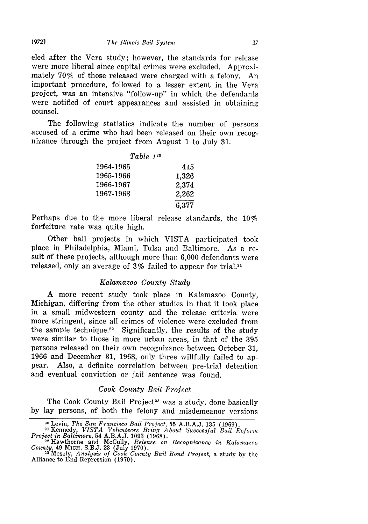eled after the Vera study; however, the standards for release were more liberal since capital crimes were excluded. Approximately 70% of those released were charged with a felony. An important procedure, followed to a lesser extent in the Vera project, was an intensive "follow-up" in which the defendants were notified of court appearances and assisted in obtaining counsel.

The following statistics indicate the number of persons accused of a crime who had been released on their own recognizance through the project from August 1 to July 31.

| Table 120 |       |
|-----------|-------|
| 1964-1965 | 415   |
| 1965-1966 | 1.326 |
| 1966-1967 | 2.374 |
| 1967-1968 | 2,262 |
|           | 6,377 |

Perhaps due to the more liberal release standards, the 10% forfeiture rate was quite high.

Other bail projects in which VISTA participated took place in Philadelphia, Miami, Tulsa and Baltimore. As a result of these projects, although more than 6,000 defendants were released, only an average of 3% failed to appear for trial.21

#### *Kalamazoo County Study*

A more recent study took place in Kalamazoo County, Michigan, differing from the other studies in that it took place in a small midwestern county and the release criteria were more stringent, since all crimes of violence were excluded from the sample technique.<sup>22</sup> Significantly, the results of the study were similar to those in more urban areas, in that of the 395 persons released on their own recognizance between October 31, 1966 and December 31, 1968, only three willfully failed to appear. Also, a definite correlation between pre-trial detention and eventual conviction or jail sentence was found.

#### *Cook County Bail Project*

The Cook County Bail Project<sup>23</sup> was a study, done basically by lay persons, of both the felony and misdemeanor versions

*19721*

<sup>20</sup> Levin, *The San Francisco Bail Project,* 55 A.B.A.J. 135 (1969).

**<sup>21</sup>**Kennedy, *VISTA Volunteers Bring About Successful Bail Reform Project in Baltimore,* 54 A.B.A.J. 1093 (1968). 22 Hawthorne and McCully, *Release on Recognizance in Kalamazoo*

<sup>&</sup>lt;sup>22</sup> Hawthorne and McCully, *Release on Recognizance in Kalamazoo* County, 49 MICH. S.B.J. 23 (July 1970).<br><sup>23</sup>Mosely, *Analysis of Cook County Bail Bond Project*, a study by the

Alliance to End Repression (1970).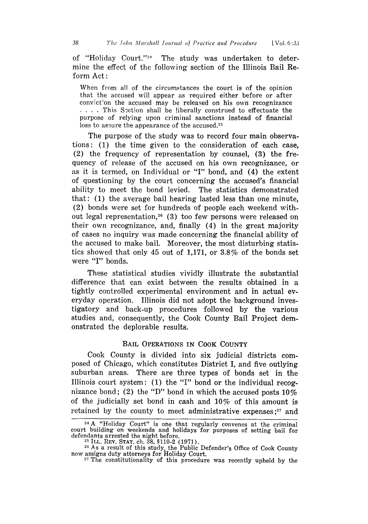of "Holiday Court."<sup>24</sup> The study was undertaken to determine the effect of the following section of the Illinois Bail Reform Act:

When from all of the circumstances the court is of the opinion that the accused will appear as required either before or after conviction the accused may be released on his own recognizance **....** This Section shall be liberally construed to effectuate the purpose of relying upon criminal sanctions instead of financial loss to assure the appearance of the accused.<sup>25</sup>

The purpose of the study was to record four main observations: (1) the time given to the consideration of each case, (2) the frequency of representation by counsel, (3) the frequency of release of the accused on his own recognizance, or as it is termed, on Individual or "I" bond, and (4) the extent of questioning by the court concerning the accused's financial ability to meet the bond levied. The statistics demonstrated that: (1) the average bail hearing lasted less than one minute, (2) bonds were set for hundreds of people each weekend without legal representation,<sup>26</sup> (3) too few persons were released on their own recognizance, and, finally (4) in the great majority of cases no inquiry was made concerning the financial ability of the accused to make bail. Moreover, the most disturbing statistics showed that only 45 out of 1,171, or 3.8% of the bonds set were **"I"** bonds.

These statistical studies vividly illustrate the substantial difference that can exist between the results obtained in a tightly controlled experimental environment and in actual everyday operation. Illinois did not adopt the background investigatory and back-up procedures followed by the various studies and, consequently, the Cook County Bail Project demonstrated the deplorable results.

#### BAIL OPERATIONS IN COOK COUNTY

Cook County is divided into six judicial districts composed of Chicago, which constitutes District I, and five outlying suburban areas. There are three types of bonds set in the Illinois court system: (1) the "I" bond or the individual recognizance bond; (2) the "D" bond in which the accused posts  $10\%$ of the judicially set bond in cash and 10% of this amount is retained by the county to meet administrative expenses;<sup>27</sup> and

<sup>&</sup>lt;sup>24</sup>A "Holiday Court" is one that regularly convenes at the criminal court building on weekends and holidays for purposes of setting bail for defendants arrested the night before. 2- **ILL.** REV. **STAT.** ch. **38,** §110-2 (1971).

 $^{26}$  As a result of this study, the Public Defender's Office of Cook County now assigns duty attorneys for Holiday Court.<br><sup>27</sup> The constitutionality of this procedure was recently upheld by the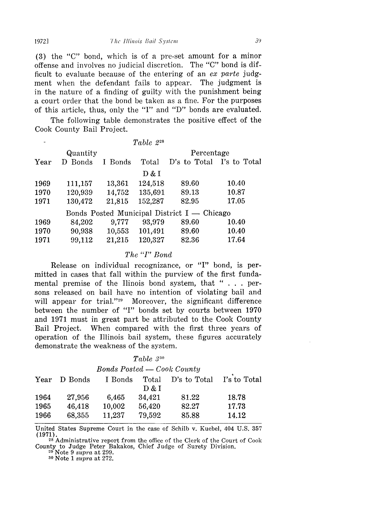(3) the "C" bond, which is of a pre-set amount for a minor offense and involves no judicial discretion. The "C" bond is difficult to evaluate because of the entering of an *ex parte* judgment when the defendant fails to appear. The judgment is in the nature of a finding of guilty with the punishment being a court order that the bond be taken as a fine. For the purposes of this article, thus, only the **"I"** and "D" bonds are evaluated.

The following table demonstrates the positive effect of the Cook County Bail Project.

|      |          |         | Table 2 <sup>28</sup> |                                               |                |
|------|----------|---------|-----------------------|-----------------------------------------------|----------------|
|      | Quantity |         | Percentage            |                                               |                |
| Year | D Bonds  | I Bonds | Total                 | D's to Total                                  | - I's to Total |
|      |          |         | D & I                 |                                               |                |
| 1969 | 111,157  | 13,361  | 124,518               | 89.60                                         | 10.40          |
| 1970 | 120,939  | 14,752  | 135,691               | 89.13                                         | 10.87          |
| 1971 | 130,472  | 21,815  | 152,287               | 82.95                                         | 17.05          |
|      |          |         |                       | Bonds Posted Municipal District $I -$ Chicago |                |
| 1969 | 84,202   | 9,777   | 93,979                | 89.60                                         | 10.40          |
| 1970 | 90,938   | 10,553  | 101,491               | 89.60                                         | 10.40          |
| 1971 | 99,112   | 21,215  | 120,327               | 82.36                                         | 17.64          |
|      |          |         |                       |                                               |                |

#### *The "I" Bond*

Release on individual recognizance, or **"I"** bond, is permitted in cases that fall within the purview of the first fundamental premise of the Ilinois bond system, that " . . . persons released on bail have no intention of violating bail and will appear for trial."<sup>29</sup> Moreover, the significant difference between the number of **"I"** bonds set by courts between 1970 and 1971 must in great part be attributed to the Cook County Bail Project. When compared with the first three years of operation of the Illinois bail system, these figures accurately demonstrate the weakness of the system.

#### *Table* **33o**

*Bonds Posted — Cook County* 

| D Bonds | I Bonds | Total  | D's to Total | I's to Total |
|---------|---------|--------|--------------|--------------|
|         |         | D & I  |              |              |
| 27,956  | 6.465   | 34.421 | 81.22        | 18.78        |
| 46,418  | 10,002  | 56,420 | 82.27        | 17.73        |
| 68,355  | 11.237  | 79,592 | 85.88        | 14.12        |
|         |         |        |              |              |

United States Supreme Court in the case of Schilb v. Kuebel, 404 U.S. 357 (1971).

**<sup>28</sup>**Administrative report from the office of the Clerk of the Court of Cook County to Judge Peter Bakakos, Chief Judge of Surety Division. **<sup>29</sup>**Note 9 *supra* at 299.

**<sup>30</sup>**Note 1 *supra* at 272.

*19721*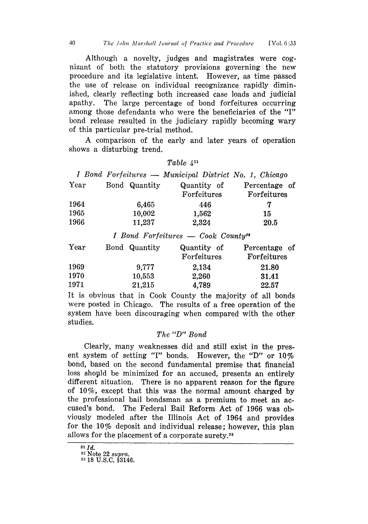Although a novelty, judges and magistrates were cognizant of both the statutory provisions governing the new procedure and its legislative intent. However, as time passed the use of release on individual recognizance rapidly diminished, clearly reflecting both increased case loads and judicial apathy. The large percentage of bond forfeitures occurring among those defendants who were the beneficiaries of the "I" bond release resulted in the judiciary rapidly becoming wary of this particular pre-trial method.

A comparison of the early and later years of operation shows a disturbing trend.

|      |               | Table $4^{31}$                                         |                  |
|------|---------------|--------------------------------------------------------|------------------|
|      |               | I Bond Forfeitures - Municipal District No. 1, Chicago |                  |
| Year | Bond Quantity | Quantity of                                            | Percentage of    |
|      |               | Forfeitures                                            | Forfeitures      |
| 1964 | 6,465         | 446                                                    | 7                |
| 1965 | 10,002        | 1,562                                                  | 15               |
| 1966 | 11,237        | 2,324                                                  | 20.5             |
|      |               | <i>I Bond Forfeitures — Cook County</i> <sup>32</sup>  |                  |
| Year | Bond Quantity | Quantity of                                            | οf<br>Percentage |

| <b>Year</b> | Bond Quantity | Quantity of | Percentage of |
|-------------|---------------|-------------|---------------|
|             |               | Forfeitures | Forfeitures   |
| 1969        | 9.777         | 2,134       | 21.80         |
| 1970        | 10,553        | 2,260       | 31.41         |
| 1971        | 21,215        | 4,789       | 22.57         |

It is obvious that in Cook County the majority of all bonds were posted in Chicago. The results of a free operation of the system have been discouraging when compared with the other studies.

#### *The "D" Bond*

Clearly, many weaknesses did and still exist in the present system of setting **"I"** bonds. However, the "D" or 10% bond, based on the second fundamental premise that financial loss shopld be minimized for an accused, presents an entirely different situation. There is no apparent reason for the figure of 10%, except that this was the normal amount charged by the professional bail bondsman as a premium to meet an accused's bond. The Federal Bail Reform Act of 1966 was obviously modeled after the Illinois Act of 1964 and provides for the 10% deposit and individual release; however, this plan allows for the placement of a corporate surety.<sup>33</sup>

*81 Id.*

**<sup>82</sup>**Note 22 *supra.*

**<sup>33</sup>**18 U.S.C. §3146.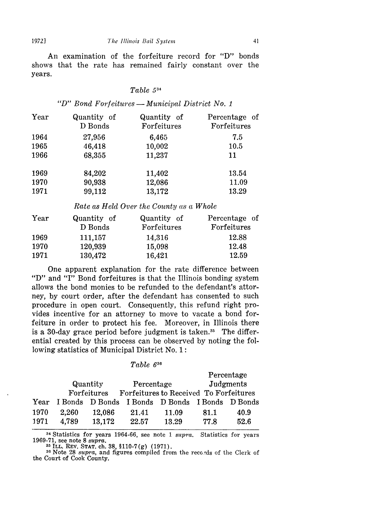An examination of the forfeiture record for "D" bonds shows that the rate has remained fairly constant over the years.

#### *Table <sup>534</sup>*

*"D" Bond Forfeitures- Municipal District No. 1*

| Year<br>Quantity of<br>Quantity of<br>Forfeitures<br>D Bonds | Percentage of<br>Forfeitures |
|--------------------------------------------------------------|------------------------------|
| 1964<br>27,956<br>6,465                                      | 7.5                          |
| 46,418<br>10,002<br>1965                                     | 10.5                         |
| 1966<br>11,237<br>68,355                                     | 11                           |
| 1969<br>84,202<br>11,402                                     | 13.54                        |
| 1970<br>90,938<br>12,086                                     | 11.09                        |
| 1971<br>99,112<br>13,172                                     | 13.29                        |

*Rate as Held Over the County (is a Whole*

| Year | Quantity of | Quantity of | Percentage of |
|------|-------------|-------------|---------------|
|      | D Bonds     | Forfeitures | Forfeitures   |
| 1969 | 111,157     | 14,316      | 12.88         |
| 1970 | 120,939     | 15,098      | 12.48         |
| 1971 | 130,472     | 16,421      | 12.59         |

One apparent explanation for the rate difference between "D" and "I" Bond forfeitures is that the Illinois bonding system allows the bond monies to be refunded to the defendant's attorney, by court order, after the defendant has consented to such procedure in open court. Consequently, this refund right provides incentive for an attorney to move to vacate a bond forfeiture in order to protect his fee. Moreover, in Illinois there is a 30-day grace period before judgment is taken.<sup>35</sup> The differential created by this process can be observed by noting the following statistics of Municipal District No. 1:

#### *Table 636*

|       |        |                         |       |            | Percentage                                                                                |
|-------|--------|-------------------------|-------|------------|-------------------------------------------------------------------------------------------|
|       |        |                         |       |            | Judgments                                                                                 |
|       |        |                         |       |            |                                                                                           |
|       |        |                         |       |            |                                                                                           |
| 2.260 | 12,086 | 21.41                   | 11.09 | 81.1       | 40.9                                                                                      |
| 4.789 | 13,172 | 22.57                   | 13.29 | 77.8       | 52.6                                                                                      |
|       |        | Quantity<br>Forfeitures |       | Percentage | Forfeitures to Received To Forfeitures<br>I Bonds D Bonds I Bonds D Bonds I Bonds D Bonds |

34 Statistics for years 1964-66, see note 1 supra. Statistics for years 1969-71, see note 8 *supra.*

<sup>36</sup> Note 28 *supra*, and figures compiled from the reco ds of the Clerk of the Court of Cook County.

**1972]**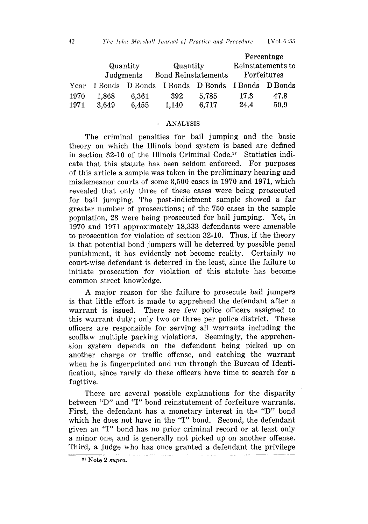|      |         |                         |                            |       |             | Percentage        |
|------|---------|-------------------------|----------------------------|-------|-------------|-------------------|
|      |         | Quantity<br>Quantity    |                            |       |             | Reinstatements to |
|      |         | Judgments               | <b>Bond Reinstatements</b> |       | Forfeitures |                   |
| Year | I Bonds | D Bonds I Bonds D Bonds |                            |       | I Bonds     | D Bonds           |
| 1970 | 1.868   | 6.361                   | -392                       | 5.785 | 17.3        | 47.8              |
| 1971 | 3,649   | 6,455                   | 1,140                      | 6,717 | 24.4        | 50.9              |

#### **ANALYSIS**

The criminal penalties for bail jumping and the basic theory on which the Illinois bond system is based are defined in section 32-10 of the Illinois Criminal **Code.3 1** Statistics indicate that this statute has been seldom enforced. For purposes of this article a sample was taken in the preliminary hearing and misdemeanor courts of some 3,500 cases in 1970 and 1971, which revealed that only three of these cases were being prosecuted for bail jumping. The post-indictment sample showed a far greater number of prosecutions; of the 750 cases in the sample population, 23 were being prosecuted for bail jumping. Yet, in 1970 and 1971 approximately 18,333 defendants were amenable to prosecution for violation of section 32-10. Thus, if the theory is that potential bond jumpers will be deterred by possible penal punishment, it has evidently not become reality. Certainly no court-wise defendant is deterred in the least, since the failure to initiate prosecution for violation of this statute has become common street knowledge.

A major reason for the failure to prosecute bail jumpers is that little effort is made to apprehend the defendant after a warrant is issued. There are few police officers assigned to this warrant duty; only two or three per police district. These officers are responsible for serving all warrants including the scofflaw multiple parking violations. Seemingly, the apprehension system depends on the defendant being picked up on another charge or traffic offense, and catching the warrant when he is fingerprinted and run through the Bureau of Identification, since rarely do these officers have time to search for a fugitive.

There are several possible explanations for the disparity between "D" and **"I"** bond reinstatement of forfeiture warrants. First, the defendant has a monetary interest in the "D" bond which he does not have in the **"I"** bond. Second, the defendant given an **"1"** bond has no prior criminal record or at least only a minor one, and is generally not picked up on another offense. Third, a judge who has once granted a defendant the privilege

**<sup>31</sup>**Note 2 *supra.*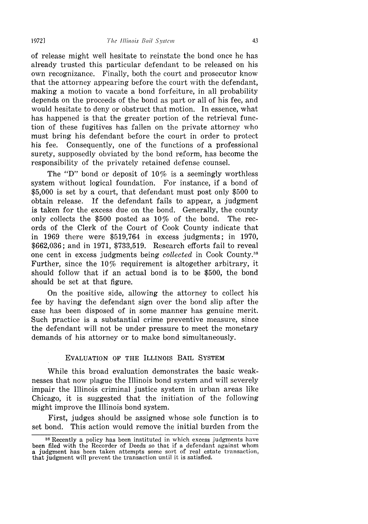of release might well hesitate to reinstate the bond once he has already trusted this particular defendant to be released on his own recognizance. Finally, both the court and prosecutor know that the attorney appearing before the court with the defendant, making a motion to vacate a bond forfeiture, in all probability depends on the proceeds of the bond as part or all of his fee, and would hesitate to deny or obstruct that motion. In essence, what has happened is that the greater portion of the retrieval function of these fugitives has fallen on the private attorney who must bring his defendant before the court in order to protect his fee. Consequently, one of the functions of a professional surety, supposedly obviated by the bond reform, has become the responsibility of the privately retained defense counsel.

The "D" bond or deposit of  $10\%$  is a seemingly worthless system without logical foundation. For instance, if a bond of \$5,000 is set by a court, that defendant must post only \$500 to obtain release. If the defendant fails to appear, a judgment is taken for the excess due on the bond. Generally, the county only collects the \$500 posted as *10%* of the bond. The records of the Clerk of the Court of Cook County indicate that in 1969 there were \$519,764 in excess judgments; in 1970, \$662,036; and in 1971, \$733,519. Research efforts fail to reveal one cent in excess judgments being *collected* in Cook County.<sup>38</sup> Further, since the 10% requirement is altogether arbitrary, it should follow that if an actual bond is to be \$500, the bond should be set at that figure.

On the positive side, allowing the attorney to collect his fee by having the defendant sign over the bond slip after the case has been disposed of in some manner has genuine merit. Such practice is a substantial crime preventive measure, since the defendant will not be under pressure to meet the monetary demands of his attorney or to make bond simultaneously.

#### EVALUATION OF THE ILLINOIS BAIL SYSTEM

While this broad evaluation demonstrates the basic weaknesses that now plague the Illinois bond system and will severely impair the Illinois criminal justice system in urban areas like Chicago, it is suggested that the initiation of the following might improve the Illinois bond system.

First, judges should be assigned whose sole function is to set bond. This action would remove the initial burden from the

**19721**

<sup>38</sup>Recently a policy has been instituted in which excess judgments have been filed with the Recorder of Deeds so that if a defendant against whom a judgment has been taken attempts some sort of real estate transaction, that judgment will prevent the transaction until it is satisfied.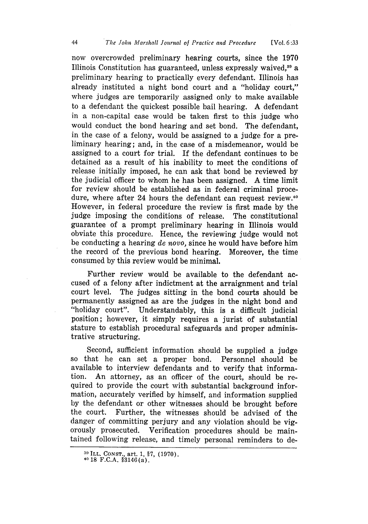now overcrowded preliminary hearing courts, since the 1970 Illinois Constitution has guaranteed, unless expressly waived, $39$  a preliminary hearing to practically every defendant. Illinois has already instituted a night bond court and a "holiday court," where judges are temporarily assigned only to make available to a defendant the quickest possible bail hearing. A defendant in a non-capital case would be taken first to this judge who would conduct the bond hearing and set bond. The defendant, in the case of a felony, would be assigned to a judge for a preliminary hearing; and, in the case of a misdemeanor, would be assigned to a court for trial. If the defendant continues to be detained as a result of his inability to meet the conditions of release initially imposed, he can ask that bond be reviewed by the judicial officer to whom he has been assigned. A time limit for review should be established as in federal criminal procedure, where after 24 hours the defendant can request review.<sup>40</sup> However, in federal procedure the review is first made by the judge imposing the conditions of release. The constitutional guarantee of a prompt preliminary hearing in Illinois would obviate this procedure. Hence, the reviewing judge would not be conducting a hearing *de novo,* since he would have before him the record of the previous bond hearing. Moreover, the time consumed by this review would be minimal.

Further review would be available to the defendant accused of a felony after indictment at the arraignment and trial court level. The judges sitting in the bond courts should be permanently assigned as are the judges in the night bond and "holiday court". Understandably, this is a difficult judicial position; however, it simply requires a jurist of substantial stature to establish procedural safeguards and proper administrative structuring.

Second, sufficient information should be supplied a judge so that he can set a proper bond. Personnel should be available to interview defendants and to verify that information. An attorney, as an officer of the court, should be required to provide the court with substantial background information, accurately verified by himself, and information supplied by the defendant or other witnesses should be brought before the court. Further, the witnesses should be advised of the danger of committing perjury and any violation should be vigorously prosecuted. Verification procedures should be maintained following release, and timely personal reminders to de-

**<sup>3</sup> <sup>9</sup>**ILL. CONST., art. 1, §7, (1970). 40 18 F.C.A. §3146(a).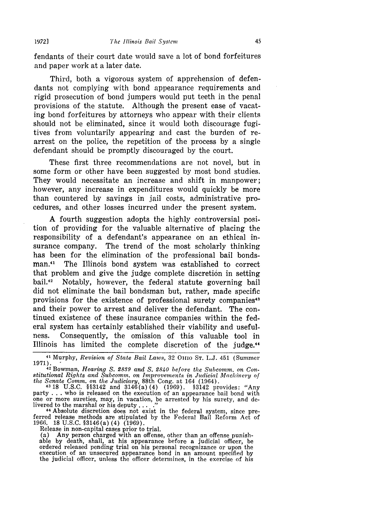fendants of their court date would save a lot of bond forfeitures and paper work at a later date.

Third, both a vigorous system of apprehension of defendants not complying with bond appearance requirements and rigid prosecution of bond jumpers would put teeth in the penal provisions of the statute. Although the present ease of vacating bond forfeitures **by** attorneys who appear with their clients should not be eliminated, since it would both discourage fugitives from voluntarily appearing and cast the burden of rearrest on the police, the repetition of the process **by** a single defendant should be promptly discouraged by the court.

These first three recommendations are not novel, but in some form or other have been suggested **by** most bond studies. They would necessitate an increase and shift in manpower; however, any increase in expenditures would quickly be more than countered by savings in jail costs, administrative procedures, and other losses incurred under the present system.

**A** fourth suggestion adopts the highly controversial position of providing for the valuable alternative of placing the responsibility of a defendant's appearance on an ethical insurance company. The trend of the most scholarly thinking has been for the elimination of the professional bail bondsman.<sup>41</sup> The Illinois bond system was established to correct that problem and give the judge complete discretion in setting bail.<sup>42</sup> Notably, however, the federal statute governing bail did not eliminate the bail bondsman but, rather, made specific provisions for the existence of professional surety companies<sup>43</sup> and their power to arrest and deliver the defendant. The continued existence of these insurance companies within the federal system has certainly established their viability and usefulness. Consequently, the omission of this valuable tool in Illinois has limited the complete discretion of the judge.<sup>44</sup>

party . . . who is released on the execution of an appearance bail bond with one or more sureties, may, in vacation, be arrested by his surety, and delivered to the marshal or his deputy . **.. ."** 44 Absolute discretion does not exist in the federal system, since pre-

ferred release methods are stipulated by the Federal Bail Reform Act of 1966. 18 U.S.C. §3146(a) (4) (1969).

Release in non-capital cases prior to trial.

(a) Any person charged with an offense, other than an offense punish- able by death, shall, at his appearance before a judicial officer, be ordered released pending trial on his personal recognizance or upon the execution of an unsecured appearance bond in an amount specified by the judicial officer, unless the officer determines, in the exercise of his

**<sup>41</sup>**Murphy, *Revision of State Bail Laws,* 32 **01io ST.** L.J. 451 (Summer 1971). **- 42** Bowman, *Hearing S. 2839 and S. 2840 before the Subcomm. on Con-*

*stitutional Rights and Subcomm. on Improvements in Judicial Machinery of the Senate Comm. on the Judiciary,* 88th Cong. at 164 (1964). 4318 U.S.C. §§3142 and 3146(a)(4) (1969). §3142 provides: "Any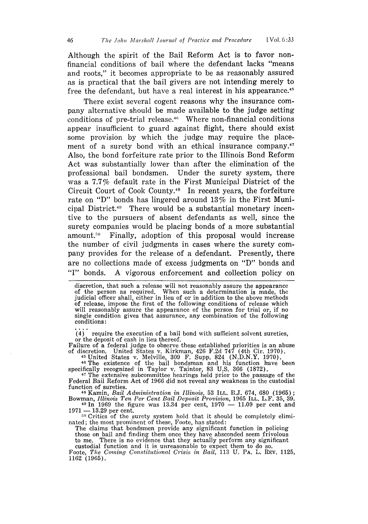Although the spirit of the Bail Reform Act is to favor nonfinancial conditions of bail where the defendant lacks "means and roots," it becomes appropriate to be as reasonably assured as is practical that the bail givers are not intending merely to free the defendant, but have a real interest in his appearance.<sup>4</sup>

There exist several cogent reasons why the insurance company alternative should be made available to the judge setting conditions of pre-trial release.<sup>46</sup> Where non-financial conditions appear insufficient to guard against flight, there should exist some provision by which the judge may require the placement of a surety bond with an ethical insurance company. $17$ Also, the bond forfeiture rate prior to the Illinois Bond Reform Act was substantially lower than after the elimination of the professional bail bondsmen. Under the surety system, there was a 7.7% default rate in the First Municipal District of the Circuit Court of Cook County.<sup>48</sup> In recent years, the forfeiture rate on "D" bonds has lingered around 13% in the First Municipal District.4' There would be a substantial monetary incentive to the pursuers of absent defendants as well, since the surety companies would be placing bonds of a more substantial amount.<sup>50</sup> Finally, adoption of this proposal would increase the number of civil judgments in cases where the surety company provides for the release of a defendant. Presently, there are no collections made of excess judgments on **"D"** bonds and **"I"** bonds. A vigorous enforcement and collection policy on

discretion, that such a release will not reasonably assure the appearance of the person as required. When such a determination is made, the judicial officer shall, either in lieu of or in addition to the above methods of release, impose the first of the following conditions of release which will reasonably assure the appearance of the person for trial or, if no single condition gives that assurance, any combination of the following conditions:

 $(4)$  require the execution of a bail bond with sufficient solvent sureties, or the deposit of cash in lieu thereof.<br>Failure of a federal judge to observe these established priorities is an abuse

of discretion. United States v. Kirkman, 426 F.2d 747 (4th Cir. 1970). 45 United States v. Melville, 309 F. Supp. 824 (N.D.N.Y. 1970). **4"** The existence of the bail bondsman and his function have been

specifically recognized in Taylor v. Taintor, 83 U.S. 366 (1872).<br><sup>47</sup> The extensive subcommittee hearings held prior to the passage of the

Federal Bail Reform Act of 1966 did not reveal any weakness in the custodial function of sureties.

**<sup>48</sup>**Kamin, *Bail Administration in Illinois,* 53 ILL. B.J. 674, 680 (1965); Bowman, *Illinois Ten Per Cent Bail Deposit Provision*, **1965 ILL. L.F. 35, 39.**<br>
<sup>49</sup> In 1969 the figure was 13.34 per cent, 1970 - 11.09 per cent and

 $1971 - 13.29$  per cent.

<sup>50</sup> Critics of the surety system hold that it should be completely elimi-<br>nated; the most prominent of these, Foote, has stated:

The claims that bondsmen provide any significant function in policing those on bail and finding them once they have absconded seem frivolous to me. There is no evidence that they actually perform any significant to me.

custodial function and it is unreasonable to expect them to do so. Foote, *The Coning Constitutiol Crisis in Bail,* 113 U. **PA.** L. REv. 1125, Foote, The Coming Constitutional Crisis in Bail, 113 U. PA. L. REV. 1125, 1162 (1965).